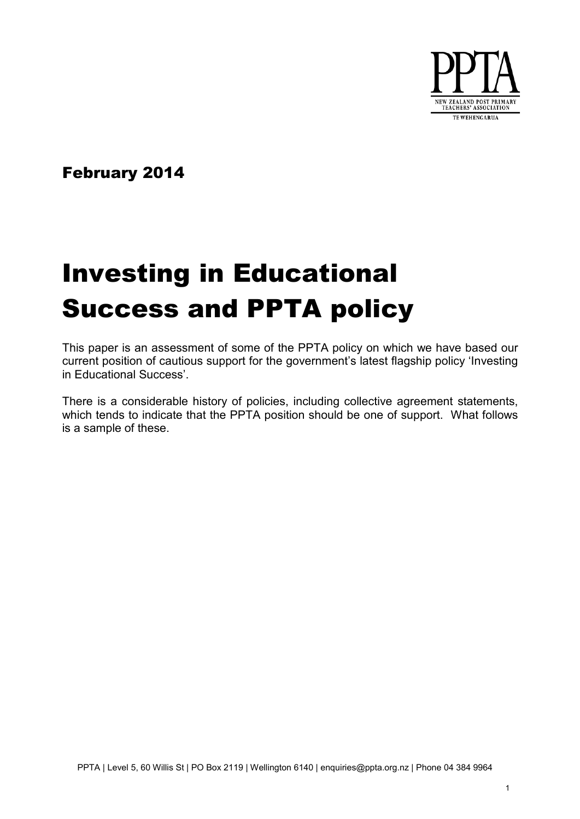

February 2014

# Investing in Educational Success and PPTA policy

This paper is an assessment of some of the PPTA policy on which we have based our current position of cautious support for the government's latest flagship policy 'Investing in Educational Success'.

There is a considerable history of policies, including collective agreement statements, which tends to indicate that the PPTA position should be one of support. What follows is a sample of these.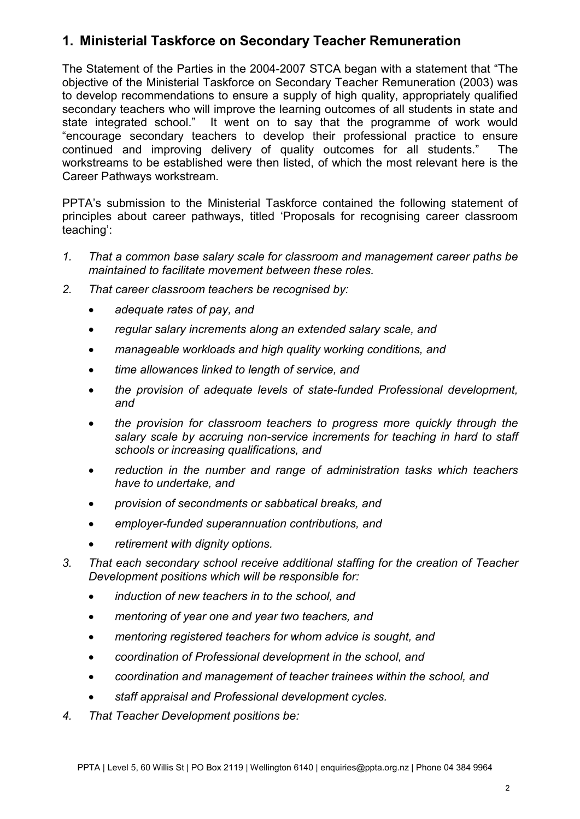## **1. Ministerial Taskforce on Secondary Teacher Remuneration**

The Statement of the Parties in the 2004-2007 STCA began with a statement that "The objective of the Ministerial Taskforce on Secondary Teacher Remuneration (2003) was to develop recommendations to ensure a supply of high quality, appropriately qualified secondary teachers who will improve the learning outcomes of all students in state and state integrated school." It went on to say that the programme of work would "encourage secondary teachers to develop their professional practice to ensure continued and improving delivery of quality outcomes for all students." The workstreams to be established were then listed, of which the most relevant here is the Career Pathways workstream.

PPTA's submission to the Ministerial Taskforce contained the following statement of principles about career pathways, titled 'Proposals for recognising career classroom teaching':

- *1. That a common base salary scale for classroom and management career paths be maintained to facilitate movement between these roles.*
- *2. That career classroom teachers be recognised by:*
	- *adequate rates of pay, and*
	- *regular salary increments along an extended salary scale, and*
	- *manageable workloads and high quality working conditions, and*
	- *time allowances linked to length of service, and*
	- *the provision of adequate levels of state-funded Professional development, and*
	- *the provision for classroom teachers to progress more quickly through the salary scale by accruing non-service increments for teaching in hard to staff schools or increasing qualifications, and*
	- *reduction in the number and range of administration tasks which teachers have to undertake, and*
	- *provision of secondments or sabbatical breaks, and*
	- *employer-funded superannuation contributions, and*
	- *retirement with dignity options.*
- *3. That each secondary school receive additional staffing for the creation of Teacher Development positions which will be responsible for:*
	- *induction of new teachers in to the school, and*
	- *mentoring of year one and year two teachers, and*
	- *mentoring registered teachers for whom advice is sought, and*
	- *coordination of Professional development in the school, and*
	- *coordination and management of teacher trainees within the school, and*
	- *staff appraisal and Professional development cycles.*
- *4. That Teacher Development positions be:*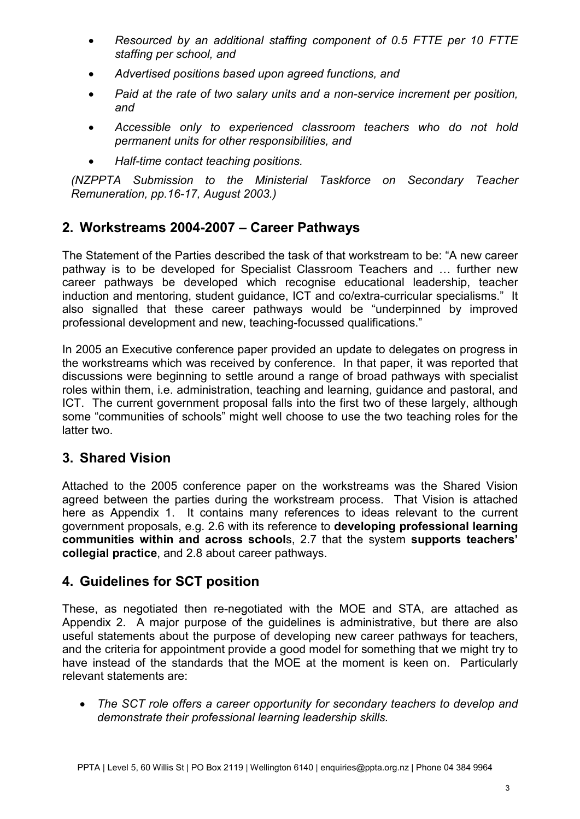- *Resourced by an additional staffing component of 0.5 FTTE per 10 FTTE staffing per school, and*
- *Advertised positions based upon agreed functions, and*
- *Paid at the rate of two salary units and a non-service increment per position, and*
- *Accessible only to experienced classroom teachers who do not hold permanent units for other responsibilities, and*
- *Half-time contact teaching positions.*

*(NZPPTA Submission to the Ministerial Taskforce on Secondary Teacher Remuneration, pp.16-17, August 2003.)* 

## **2. Workstreams 2004-2007 – Career Pathways**

The Statement of the Parties described the task of that workstream to be: "A new career pathway is to be developed for Specialist Classroom Teachers and … further new career pathways be developed which recognise educational leadership, teacher induction and mentoring, student guidance, ICT and co/extra-curricular specialisms." It also signalled that these career pathways would be "underpinned by improved professional development and new, teaching-focussed qualifications."

In 2005 an Executive conference paper provided an update to delegates on progress in the workstreams which was received by conference. In that paper, it was reported that discussions were beginning to settle around a range of broad pathways with specialist roles within them, i.e. administration, teaching and learning, guidance and pastoral, and ICT. The current government proposal falls into the first two of these largely, although some "communities of schools" might well choose to use the two teaching roles for the latter two.

## **3. Shared Vision**

Attached to the 2005 conference paper on the workstreams was the Shared Vision agreed between the parties during the workstream process. That Vision is attached here as Appendix 1. It contains many references to ideas relevant to the current government proposals, e.g. 2.6 with its reference to **developing professional learning communities within and across school**s, 2.7 that the system **supports teachers' collegial practice**, and 2.8 about career pathways.

## **4. Guidelines for SCT position**

These, as negotiated then re-negotiated with the MOE and STA, are attached as Appendix 2. A major purpose of the guidelines is administrative, but there are also useful statements about the purpose of developing new career pathways for teachers, and the criteria for appointment provide a good model for something that we might try to have instead of the standards that the MOE at the moment is keen on. Particularly relevant statements are:

• *The SCT role offers a career opportunity for secondary teachers to develop and demonstrate their professional learning leadership skills.*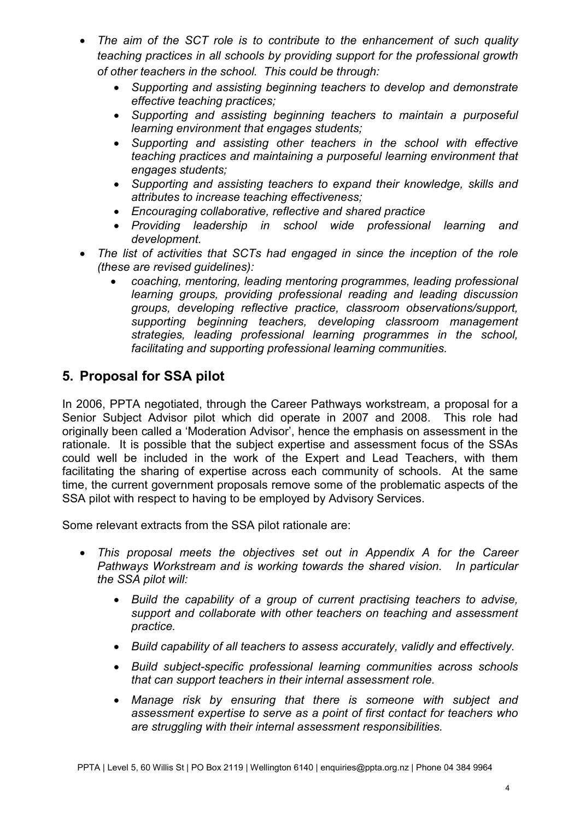- *The aim of the SCT role is to contribute to the enhancement of such quality teaching practices in all schools by providing support for the professional growth of other teachers in the school. This could be through:*
	- *Supporting and assisting beginning teachers to develop and demonstrate effective teaching practices;*
	- *Supporting and assisting beginning teachers to maintain a purposeful learning environment that engages students;*
	- *Supporting and assisting other teachers in the school with effective teaching practices and maintaining a purposeful learning environment that engages students;*
	- *Supporting and assisting teachers to expand their knowledge, skills and attributes to increase teaching effectiveness;*
	- *Encouraging collaborative, reflective and shared practice*
	- *Providing leadership in school wide professional learning and development.*
- *The list of activities that SCTs had engaged in since the inception of the role (these are revised guidelines):*
	- *coaching, mentoring, leading mentoring programmes, leading professional learning groups, providing professional reading and leading discussion groups, developing reflective practice, classroom observations/support, supporting beginning teachers, developing classroom management strategies, leading professional learning programmes in the school, facilitating and supporting professional learning communities.*

## **5. Proposal for SSA pilot**

In 2006, PPTA negotiated, through the Career Pathways workstream, a proposal for a Senior Subject Advisor pilot which did operate in 2007 and 2008. This role had originally been called a 'Moderation Advisor', hence the emphasis on assessment in the rationale. It is possible that the subject expertise and assessment focus of the SSAs could well be included in the work of the Expert and Lead Teachers, with them facilitating the sharing of expertise across each community of schools. At the same time, the current government proposals remove some of the problematic aspects of the SSA pilot with respect to having to be employed by Advisory Services.

Some relevant extracts from the SSA pilot rationale are:

- *This proposal meets the objectives set out in Appendix A for the Career Pathways Workstream and is working towards the shared vision. In particular the SSA pilot will:*
	- *Build the capability of a group of current practising teachers to advise, support and collaborate with other teachers on teaching and assessment practice.*
	- *Build capability of all teachers to assess accurately, validly and effectively.*
	- *Build subject-specific professional learning communities across schools that can support teachers in their internal assessment role.*
	- *Manage risk by ensuring that there is someone with subject and assessment expertise to serve as a point of first contact for teachers who are struggling with their internal assessment responsibilities.*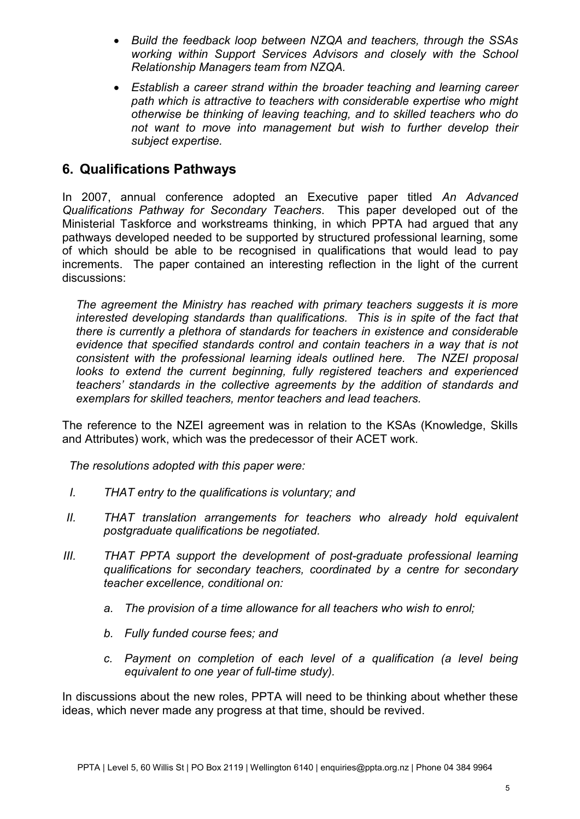- *Build the feedback loop between NZQA and teachers, through the SSAs working within Support Services Advisors and closely with the School Relationship Managers team from NZQA.*
- *Establish a career strand within the broader teaching and learning career path which is attractive to teachers with considerable expertise who might otherwise be thinking of leaving teaching, and to skilled teachers who do not want to move into management but wish to further develop their subject expertise.*

## **6. Qualifications Pathways**

In 2007, annual conference adopted an Executive paper titled *An Advanced Qualifications Pathway for Secondary Teachers*. This paper developed out of the Ministerial Taskforce and workstreams thinking, in which PPTA had argued that any pathways developed needed to be supported by structured professional learning, some of which should be able to be recognised in qualifications that would lead to pay increments. The paper contained an interesting reflection in the light of the current discussions:

*The agreement the Ministry has reached with primary teachers suggests it is more interested developing standards than qualifications. This is in spite of the fact that there is currently a plethora of standards for teachers in existence and considerable evidence that specified standards control and contain teachers in a way that is not consistent with the professional learning ideals outlined here. The NZEI proposal*  looks to extend the current beginning, fully registered teachers and experienced *teachers' standards in the collective agreements by the addition of standards and exemplars for skilled teachers, mentor teachers and lead teachers.*

The reference to the NZEI agreement was in relation to the KSAs (Knowledge, Skills and Attributes) work, which was the predecessor of their ACET work.

*The resolutions adopted with this paper were:*

- *I. THAT entry to the qualifications is voluntary; and*
- *II. THAT translation arrangements for teachers who already hold equivalent postgraduate qualifications be negotiated.*
- *III. THAT PPTA support the development of post-graduate professional learning qualifications for secondary teachers, coordinated by a centre for secondary teacher excellence, conditional on:*
	- *a. The provision of a time allowance for all teachers who wish to enrol;*
	- *b. Fully funded course fees; and*
	- *c. Payment on completion of each level of a qualification (a level being equivalent to one year of full-time study).*

In discussions about the new roles, PPTA will need to be thinking about whether these ideas, which never made any progress at that time, should be revived.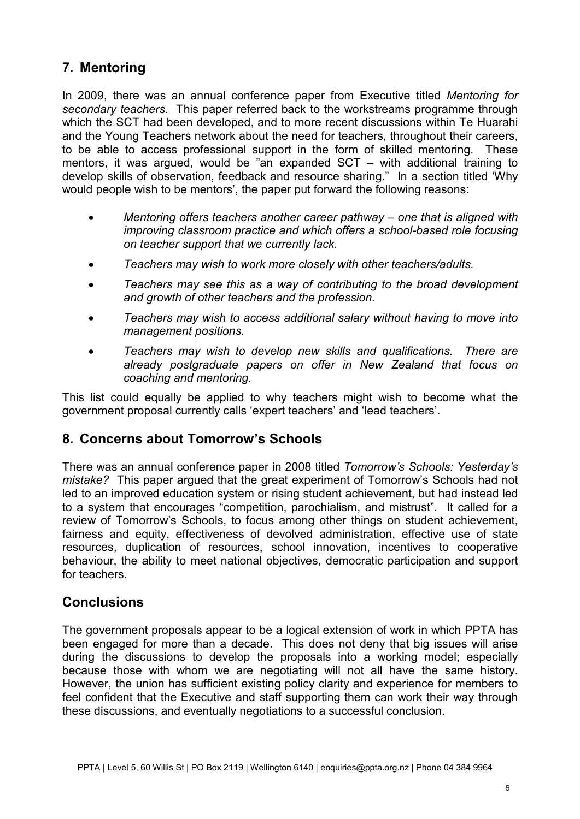## **7. Mentoring**

In 2009, there was an annual conference paper from Executive titled *Mentoring for secondary teachers*. This paper referred back to the workstreams programme through which the SCT had been developed, and to more recent discussions within Te Huarahi and the Young Teachers network about the need for teachers, throughout their careers, to be able to access professional support in the form of skilled mentoring. These mentors, it was argued, would be "an expanded SCT – with additional training to develop skills of observation, feedback and resource sharing." In a section titled 'Why would people wish to be mentors', the paper put forward the following reasons:

- *Mentoring offers teachers another career pathway one that is aligned with improving classroom practice and which offers a school-based role focusing on teacher support that we currently lack.*
- *Teachers may wish to work more closely with other teachers/adults.*
- *Teachers may see this as a way of contributing to the broad development and growth of other teachers and the profession.*
- *Teachers may wish to access additional salary without having to move into management positions.*
- *Teachers may wish to develop new skills and qualifications. There are already postgraduate papers on offer in New Zealand that focus on coaching and mentoring.*

This list could equally be applied to why teachers might wish to become what the government proposal currently calls 'expert teachers' and 'lead teachers'.

## **8. Concerns about Tomorrow's Schools**

There was an annual conference paper in 2008 titled *Tomorrow's Schools: Yesterday's mistake?* This paper argued that the great experiment of Tomorrow's Schools had not led to an improved education system or rising student achievement, but had instead led to a system that encourages "competition, parochialism, and mistrust". It called for a review of Tomorrow's Schools, to focus among other things on student achievement, fairness and equity, effectiveness of devolved administration, effective use of state resources, duplication of resources, school innovation, incentives to cooperative behaviour, the ability to meet national objectives, democratic participation and support for teachers.

## **Conclusions**

The government proposals appear to be a logical extension of work in which PPTA has been engaged for more than a decade. This does not deny that big issues will arise during the discussions to develop the proposals into a working model; especially because those with whom we are negotiating will not all have the same history. However, the union has sufficient existing policy clarity and experience for members to feel confident that the Executive and staff supporting them can work their way through these discussions, and eventually negotiations to a successful conclusion.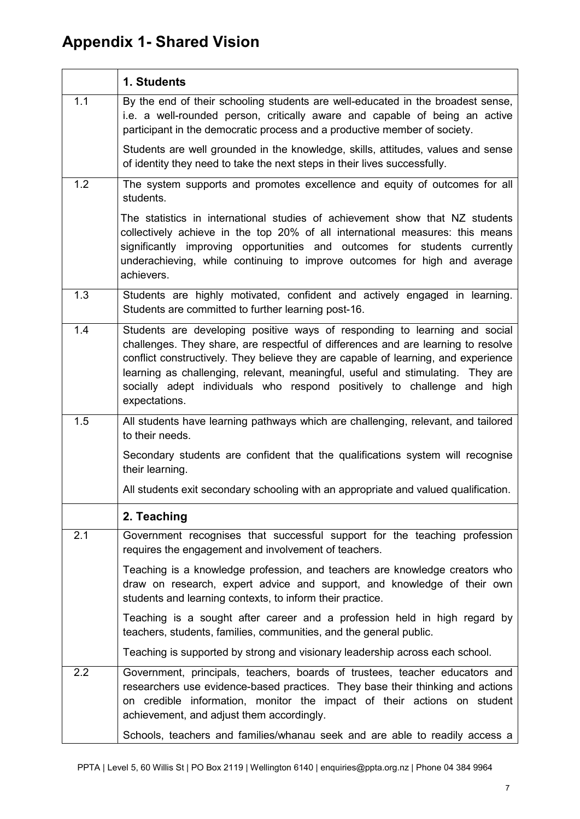## **Appendix 1- Shared Vision**

|     | 1. Students                                                                                                                                                                                                                                                                                                                                                                                                                          |
|-----|--------------------------------------------------------------------------------------------------------------------------------------------------------------------------------------------------------------------------------------------------------------------------------------------------------------------------------------------------------------------------------------------------------------------------------------|
| 1.1 | By the end of their schooling students are well-educated in the broadest sense,<br>i.e. a well-rounded person, critically aware and capable of being an active<br>participant in the democratic process and a productive member of society.                                                                                                                                                                                          |
|     | Students are well grounded in the knowledge, skills, attitudes, values and sense<br>of identity they need to take the next steps in their lives successfully.                                                                                                                                                                                                                                                                        |
| 1.2 | The system supports and promotes excellence and equity of outcomes for all<br>students.                                                                                                                                                                                                                                                                                                                                              |
|     | The statistics in international studies of achievement show that NZ students<br>collectively achieve in the top 20% of all international measures: this means<br>significantly improving opportunities and outcomes for students currently<br>underachieving, while continuing to improve outcomes for high and average<br>achievers.                                                                                                |
| 1.3 | Students are highly motivated, confident and actively engaged in learning.<br>Students are committed to further learning post-16.                                                                                                                                                                                                                                                                                                    |
| 1.4 | Students are developing positive ways of responding to learning and social<br>challenges. They share, are respectful of differences and are learning to resolve<br>conflict constructively. They believe they are capable of learning, and experience<br>learning as challenging, relevant, meaningful, useful and stimulating. They are<br>socially adept individuals who respond positively to challenge and high<br>expectations. |
| 1.5 | All students have learning pathways which are challenging, relevant, and tailored<br>to their needs.                                                                                                                                                                                                                                                                                                                                 |
|     | Secondary students are confident that the qualifications system will recognise<br>their learning.                                                                                                                                                                                                                                                                                                                                    |
|     | All students exit secondary schooling with an appropriate and valued qualification.                                                                                                                                                                                                                                                                                                                                                  |
|     | 2. Teaching                                                                                                                                                                                                                                                                                                                                                                                                                          |
| 2.1 | Government recognises that successful support for the teaching profession<br>requires the engagement and involvement of teachers.                                                                                                                                                                                                                                                                                                    |
|     | Teaching is a knowledge profession, and teachers are knowledge creators who<br>draw on research, expert advice and support, and knowledge of their own<br>students and learning contexts, to inform their practice.                                                                                                                                                                                                                  |
|     | Teaching is a sought after career and a profession held in high regard by<br>teachers, students, families, communities, and the general public.                                                                                                                                                                                                                                                                                      |
|     | Teaching is supported by strong and visionary leadership across each school.                                                                                                                                                                                                                                                                                                                                                         |
| 2.2 | Government, principals, teachers, boards of trustees, teacher educators and<br>researchers use evidence-based practices. They base their thinking and actions<br>on credible information, monitor the impact of their actions on student<br>achievement, and adjust them accordingly.                                                                                                                                                |
|     | Schools, teachers and families/whanau seek and are able to readily access a                                                                                                                                                                                                                                                                                                                                                          |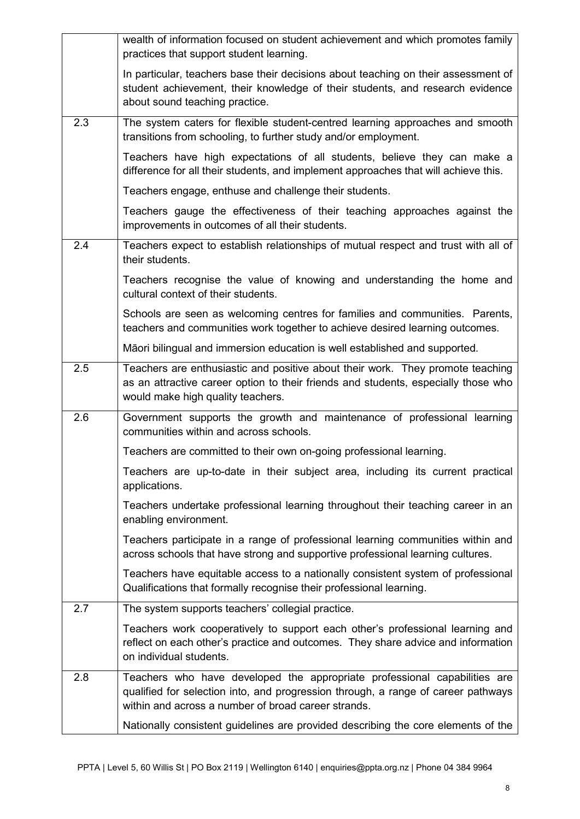|                  | wealth of information focused on student achievement and which promotes family<br>practices that support student learning.                                                                                            |
|------------------|-----------------------------------------------------------------------------------------------------------------------------------------------------------------------------------------------------------------------|
|                  | In particular, teachers base their decisions about teaching on their assessment of<br>student achievement, their knowledge of their students, and research evidence<br>about sound teaching practice.                 |
| 2.3              | The system caters for flexible student-centred learning approaches and smooth<br>transitions from schooling, to further study and/or employment.                                                                      |
|                  | Teachers have high expectations of all students, believe they can make a<br>difference for all their students, and implement approaches that will achieve this.                                                       |
|                  | Teachers engage, enthuse and challenge their students.                                                                                                                                                                |
|                  | Teachers gauge the effectiveness of their teaching approaches against the<br>improvements in outcomes of all their students.                                                                                          |
| $\overline{2.4}$ | Teachers expect to establish relationships of mutual respect and trust with all of<br>their students.                                                                                                                 |
|                  | Teachers recognise the value of knowing and understanding the home and<br>cultural context of their students.                                                                                                         |
|                  | Schools are seen as welcoming centres for families and communities. Parents,<br>teachers and communities work together to achieve desired learning outcomes.                                                          |
|                  | Māori bilingual and immersion education is well established and supported.                                                                                                                                            |
| 2.5              | Teachers are enthusiastic and positive about their work. They promote teaching<br>as an attractive career option to their friends and students, especially those who<br>would make high quality teachers.             |
| 2.6              | Government supports the growth and maintenance of professional learning<br>communities within and across schools.                                                                                                     |
|                  | Teachers are committed to their own on-going professional learning.                                                                                                                                                   |
|                  | Teachers are up-to-date in their subject area, including its current practical<br>applications.                                                                                                                       |
|                  | Teachers undertake professional learning throughout their teaching career in an<br>enabling environment.                                                                                                              |
|                  | Teachers participate in a range of professional learning communities within and<br>across schools that have strong and supportive professional learning cultures.                                                     |
|                  | Teachers have equitable access to a nationally consistent system of professional<br>Qualifications that formally recognise their professional learning.                                                               |
| 2.7              | The system supports teachers' collegial practice.                                                                                                                                                                     |
|                  | Teachers work cooperatively to support each other's professional learning and<br>reflect on each other's practice and outcomes. They share advice and information<br>on individual students.                          |
| 2.8              | Teachers who have developed the appropriate professional capabilities are<br>qualified for selection into, and progression through, a range of career pathways<br>within and across a number of broad career strands. |
|                  | Nationally consistent guidelines are provided describing the core elements of the                                                                                                                                     |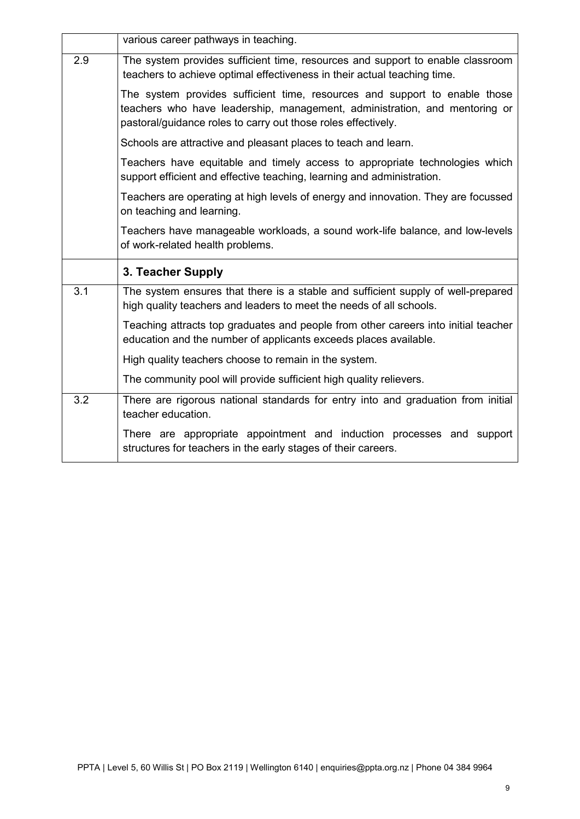|                  | various career pathways in teaching.                                                                                                                                                                                      |
|------------------|---------------------------------------------------------------------------------------------------------------------------------------------------------------------------------------------------------------------------|
| 2.9              | The system provides sufficient time, resources and support to enable classroom<br>teachers to achieve optimal effectiveness in their actual teaching time.                                                                |
|                  | The system provides sufficient time, resources and support to enable those<br>teachers who have leadership, management, administration, and mentoring or<br>pastoral/guidance roles to carry out those roles effectively. |
|                  | Schools are attractive and pleasant places to teach and learn.                                                                                                                                                            |
|                  | Teachers have equitable and timely access to appropriate technologies which<br>support efficient and effective teaching, learning and administration.                                                                     |
|                  | Teachers are operating at high levels of energy and innovation. They are focussed<br>on teaching and learning.                                                                                                            |
|                  | Teachers have manageable workloads, a sound work-life balance, and low-levels<br>of work-related health problems.                                                                                                         |
|                  | 3. Teacher Supply                                                                                                                                                                                                         |
| 3.1              | The system ensures that there is a stable and sufficient supply of well-prepared<br>high quality teachers and leaders to meet the needs of all schools.                                                                   |
|                  | Teaching attracts top graduates and people from other careers into initial teacher<br>education and the number of applicants exceeds places available.                                                                    |
|                  | High quality teachers choose to remain in the system.                                                                                                                                                                     |
|                  | The community pool will provide sufficient high quality relievers.                                                                                                                                                        |
| $\overline{3.2}$ | There are rigorous national standards for entry into and graduation from initial<br>teacher education.                                                                                                                    |
|                  | There are appropriate appointment and induction processes and support<br>structures for teachers in the early stages of their careers.                                                                                    |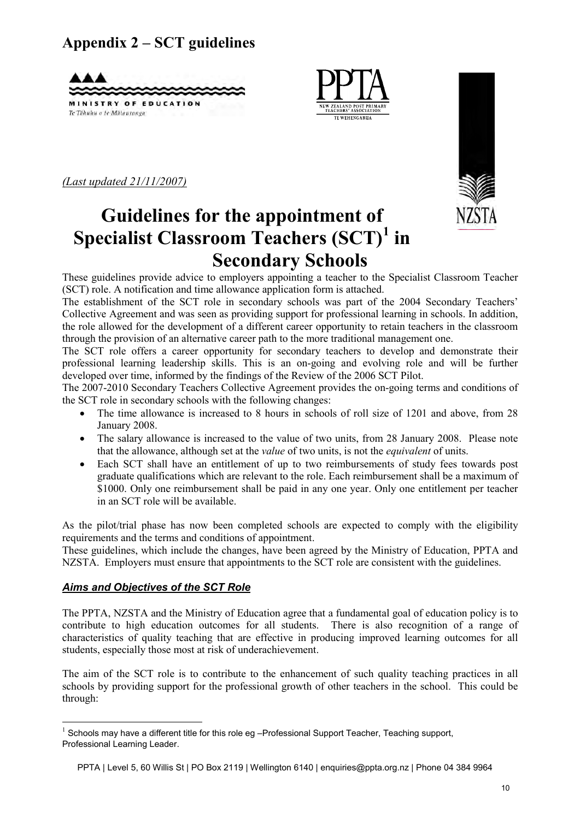## **Appendix 2 – SCT guidelines**





*(Last updated 21/11/2007)* 



## **Guidelines for the appointment of Specialist Classroom Teachers (SCT)[1](#page-9-0) in Secondary Schools**

These guidelines provide advice to employers appointing a teacher to the Specialist Classroom Teacher (SCT) role. A notification and time allowance application form is attached.

The establishment of the SCT role in secondary schools was part of the 2004 Secondary Teachers' Collective Agreement and was seen as providing support for professional learning in schools. In addition, the role allowed for the development of a different career opportunity to retain teachers in the classroom through the provision of an alternative career path to the more traditional management one.

The SCT role offers a career opportunity for secondary teachers to develop and demonstrate their professional learning leadership skills. This is an on-going and evolving role and will be further developed over time, informed by the findings of the Review of the 2006 SCT Pilot.

The 2007-2010 Secondary Teachers Collective Agreement provides the on-going terms and conditions of the SCT role in secondary schools with the following changes:

- The time allowance is increased to 8 hours in schools of roll size of 1201 and above, from 28 January 2008.
- The salary allowance is increased to the value of two units, from 28 January 2008. Please note that the allowance, although set at the *value* of two units, is not the *equivalent* of units.
- Each SCT shall have an entitlement of up to two reimbursements of study fees towards post graduate qualifications which are relevant to the role. Each reimbursement shall be a maximum of \$1000. Only one reimbursement shall be paid in any one year. Only one entitlement per teacher in an SCT role will be available.

As the pilot/trial phase has now been completed schools are expected to comply with the eligibility requirements and the terms and conditions of appointment.

These guidelines, which include the changes, have been agreed by the Ministry of Education, PPTA and NZSTA. Employers must ensure that appointments to the SCT role are consistent with the guidelines.

#### *Aims and Objectives of the SCT Role*

 $\overline{a}$ 

The PPTA, NZSTA and the Ministry of Education agree that a fundamental goal of education policy is to contribute to high education outcomes for all students. There is also recognition of a range of characteristics of quality teaching that are effective in producing improved learning outcomes for all students, especially those most at risk of underachievement.

The aim of the SCT role is to contribute to the enhancement of such quality teaching practices in all schools by providing support for the professional growth of other teachers in the school. This could be through:

<span id="page-9-0"></span> $1$  Schools may have a different title for this role eg -Professional Support Teacher, Teaching support, Professional Learning Leader.

PPTA | Level 5, 60 Willis St | PO Box 2119 | Wellington 6140 | enquiries@ppta.org.nz | Phone 04 384 9964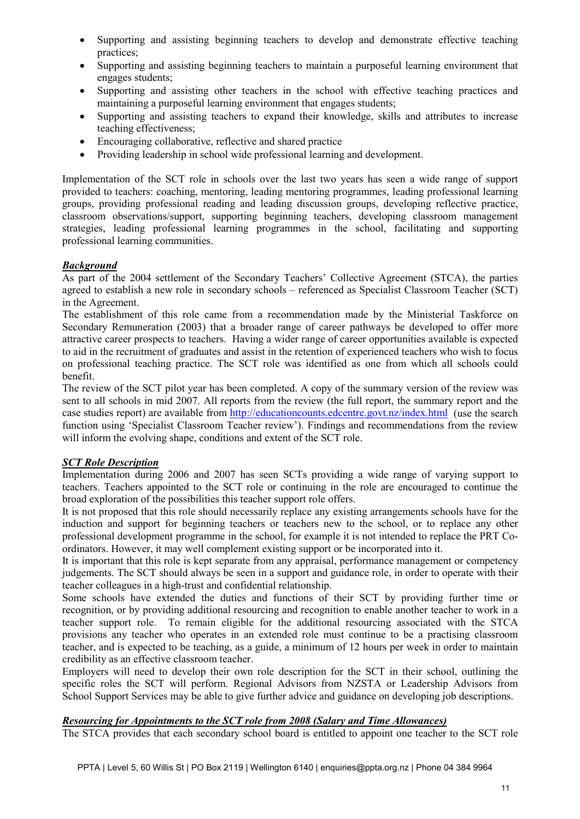- Supporting and assisting beginning teachers to develop and demonstrate effective teaching practices;
- Supporting and assisting beginning teachers to maintain a purposeful learning environment that engages students;
- Supporting and assisting other teachers in the school with effective teaching practices and maintaining a purposeful learning environment that engages students;
- Supporting and assisting teachers to expand their knowledge, skills and attributes to increase teaching effectiveness;
- Encouraging collaborative, reflective and shared practice
- Providing leadership in school wide professional learning and development.

Implementation of the SCT role in schools over the last two years has seen a wide range of support provided to teachers: coaching, mentoring, leading mentoring programmes, leading professional learning groups, providing professional reading and leading discussion groups, developing reflective practice, classroom observations/support, supporting beginning teachers, developing classroom management strategies, leading professional learning programmes in the school, facilitating and supporting professional learning communities.

#### *Background*

As part of the 2004 settlement of the Secondary Teachers' Collective Agreement (STCA), the parties agreed to establish a new role in secondary schools – referenced as Specialist Classroom Teacher (SCT) in the Agreement.

The establishment of this role came from a recommendation made by the Ministerial Taskforce on Secondary Remuneration (2003) that a broader range of career pathways be developed to offer more attractive career prospects to teachers. Having a wider range of career opportunities available is expected to aid in the recruitment of graduates and assist in the retention of experienced teachers who wish to focus on professional teaching practice. The SCT role was identified as one from which all schools could benefit.

The review of the SCT pilot year has been completed. A copy of the summary version of the review was sent to all schools in mid 2007. All reports from the review (the full report, the summary report and the case studies report) are available from<http://educationcounts.edcentre.govt.nz/index.html>(use the search function using 'Specialist Classroom Teacher review'). Findings and recommendations from the review will inform the evolving shape, conditions and extent of the SCT role.

#### *SCT Role Description*

Implementation during 2006 and 2007 has seen SCTs providing a wide range of varying support to teachers. Teachers appointed to the SCT role or continuing in the role are encouraged to continue the broad exploration of the possibilities this teacher support role offers.

It is not proposed that this role should necessarily replace any existing arrangements schools have for the induction and support for beginning teachers or teachers new to the school, or to replace any other professional development programme in the school, for example it is not intended to replace the PRT Coordinators. However, it may well complement existing support or be incorporated into it.

It is important that this role is kept separate from any appraisal, performance management or competency judgements. The SCT should always be seen in a support and guidance role, in order to operate with their teacher colleagues in a high-trust and confidential relationship.

Some schools have extended the duties and functions of their SCT by providing further time or recognition, or by providing additional resourcing and recognition to enable another teacher to work in a teacher support role. To remain eligible for the additional resourcing associated with the STCA provisions any teacher who operates in an extended role must continue to be a practising classroom teacher, and is expected to be teaching, as a guide, a minimum of 12 hours per week in order to maintain credibility as an effective classroom teacher.

Employers will need to develop their own role description for the SCT in their school, outlining the specific roles the SCT will perform. Regional Advisors from NZSTA or Leadership Advisors from School Support Services may be able to give further advice and guidance on developing job descriptions.

#### *Resourcing for Appointments to the SCT role from 2008 (Salary and Time Allowances)*

The STCA provides that each secondary school board is entitled to appoint one teacher to the SCT role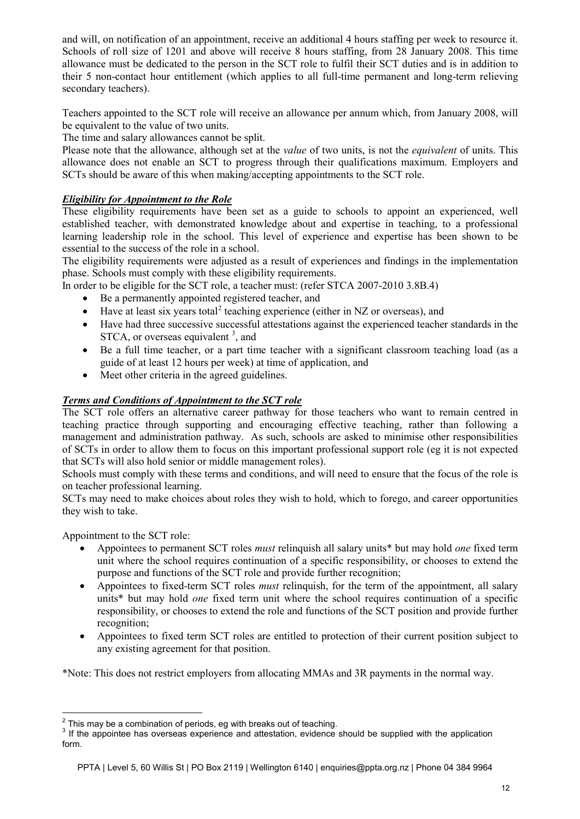and will, on notification of an appointment, receive an additional 4 hours staffing per week to resource it. Schools of roll size of 1201 and above will receive 8 hours staffing, from 28 January 2008. This time allowance must be dedicated to the person in the SCT role to fulfil their SCT duties and is in addition to their 5 non-contact hour entitlement (which applies to all full-time permanent and long-term relieving secondary teachers).

Teachers appointed to the SCT role will receive an allowance per annum which, from January 2008, will be equivalent to the value of two units.

The time and salary allowances cannot be split.

Please note that the allowance, although set at the *value* of two units, is not the *equivalent* of units. This allowance does not enable an SCT to progress through their qualifications maximum. Employers and SCTs should be aware of this when making/accepting appointments to the SCT role.

#### *Eligibility for Appointment to the Role*

These eligibility requirements have been set as a guide to schools to appoint an experienced, well established teacher, with demonstrated knowledge about and expertise in teaching, to a professional learning leadership role in the school. This level of experience and expertise has been shown to be essential to the success of the role in a school.

The eligibility requirements were adjusted as a result of experiences and findings in the implementation phase. Schools must comply with these eligibility requirements.

In order to be eligible for the SCT role, a teacher must: (refer STCA 2007-2010 3.8B.4)

- Be a permanently appointed registered teacher, and
- Have at least six years total<sup>[2](#page-11-0)</sup> teaching experience (either in NZ or overseas), and
- Have had three successive successful attestations against the experienced teacher standards in the  $STCA$ , or overseas equivalent  $3$ , and
- Be a full time teacher, or a part time teacher with a significant classroom teaching load (as a guide of at least 12 hours per week) at time of application, and
- Meet other criteria in the agreed guidelines.

#### *Terms and Conditions of Appointment to the SCT role*

The SCT role offers an alternative career pathway for those teachers who want to remain centred in teaching practice through supporting and encouraging effective teaching, rather than following a management and administration pathway. As such, schools are asked to minimise other responsibilities of SCTs in order to allow them to focus on this important professional support role (eg it is not expected that SCTs will also hold senior or middle management roles).

Schools must comply with these terms and conditions, and will need to ensure that the focus of the role is on teacher professional learning.

SCTs may need to make choices about roles they wish to hold, which to forego, and career opportunities they wish to take.

Appointment to the SCT role:

 $\overline{a}$ 

- Appointees to permanent SCT roles *must* relinquish all salary units\* but may hold *one* fixed term unit where the school requires continuation of a specific responsibility, or chooses to extend the purpose and functions of the SCT role and provide further recognition;
- Appointees to fixed-term SCT roles *must* relinquish, for the term of the appointment, all salary units\* but may hold *one* fixed term unit where the school requires continuation of a specific responsibility, or chooses to extend the role and functions of the SCT position and provide further recognition;
- Appointees to fixed term SCT roles are entitled to protection of their current position subject to any existing agreement for that position.

\*Note: This does not restrict employers from allocating MMAs and 3R payments in the normal way.

<span id="page-11-0"></span> $2^{2}$  This may be a combination of periods, eg with breaks out of teaching.

<span id="page-11-1"></span><sup>&</sup>lt;sup>3</sup> If the appointee has overseas experience and attestation, evidence should be supplied with the application form.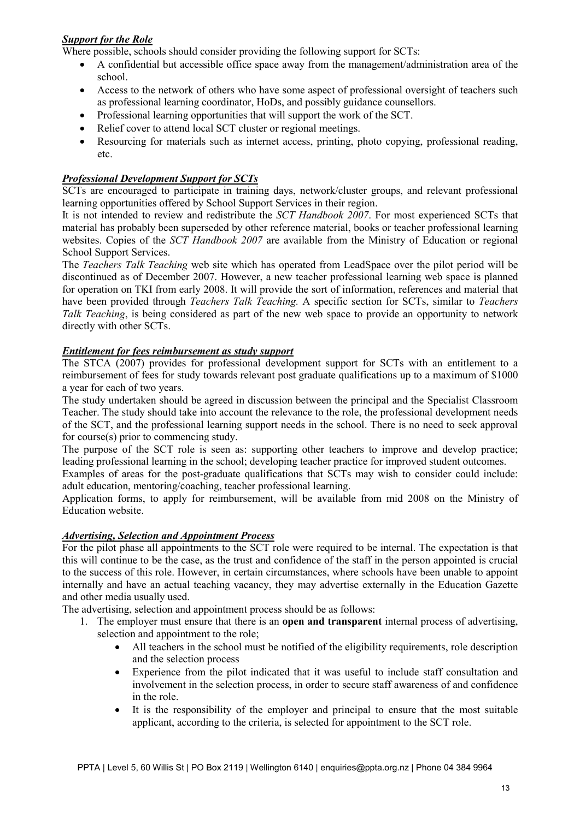#### *Support for the Role*

Where possible, schools should consider providing the following support for SCTs:

- A confidential but accessible office space away from the management/administration area of the school.
- Access to the network of others who have some aspect of professional oversight of teachers such as professional learning coordinator, HoDs, and possibly guidance counsellors.
- Professional learning opportunities that will support the work of the SCT.
- Relief cover to attend local SCT cluster or regional meetings.
- Resourcing for materials such as internet access, printing, photo copying, professional reading, etc.

#### *Professional Development Support for SCTs*

SCTs are encouraged to participate in training days, network/cluster groups, and relevant professional learning opportunities offered by School Support Services in their region.

It is not intended to review and redistribute the *SCT Handbook 2007*. For most experienced SCTs that material has probably been superseded by other reference material, books or teacher professional learning websites. Copies of the *SCT Handbook 2007* are available from the Ministry of Education or regional School Support Services.

The *Teachers Talk Teaching* web site which has operated from LeadSpace over the pilot period will be discontinued as of December 2007. However, a new teacher professional learning web space is planned for operation on TKI from early 2008. It will provide the sort of information, references and material that have been provided through *Teachers Talk Teaching.* A specific section for SCTs, similar to *Teachers Talk Teaching*, is being considered as part of the new web space to provide an opportunity to network directly with other SCTs.

#### *Entitlement for fees reimbursement as study support*

The STCA (2007) provides for professional development support for SCTs with an entitlement to a reimbursement of fees for study towards relevant post graduate qualifications up to a maximum of \$1000 a year for each of two years.

The study undertaken should be agreed in discussion between the principal and the Specialist Classroom Teacher. The study should take into account the relevance to the role, the professional development needs of the SCT, and the professional learning support needs in the school. There is no need to seek approval for course(s) prior to commencing study.

The purpose of the SCT role is seen as: supporting other teachers to improve and develop practice; leading professional learning in the school; developing teacher practice for improved student outcomes.

Examples of areas for the post-graduate qualifications that SCTs may wish to consider could include: adult education, mentoring/coaching, teacher professional learning.

Application forms, to apply for reimbursement, will be available from mid 2008 on the Ministry of Education website.

#### *Advertising, Selection and Appointment Process*

For the pilot phase all appointments to the SCT role were required to be internal. The expectation is that this will continue to be the case, as the trust and confidence of the staff in the person appointed is crucial to the success of this role. However, in certain circumstances, where schools have been unable to appoint internally and have an actual teaching vacancy, they may advertise externally in the Education Gazette and other media usually used.

The advertising, selection and appointment process should be as follows:

- 1. The employer must ensure that there is an **open and transparent** internal process of advertising, selection and appointment to the role;
	- All teachers in the school must be notified of the eligibility requirements, role description and the selection process
	- Experience from the pilot indicated that it was useful to include staff consultation and involvement in the selection process, in order to secure staff awareness of and confidence in the role.
	- It is the responsibility of the employer and principal to ensure that the most suitable applicant, according to the criteria, is selected for appointment to the SCT role.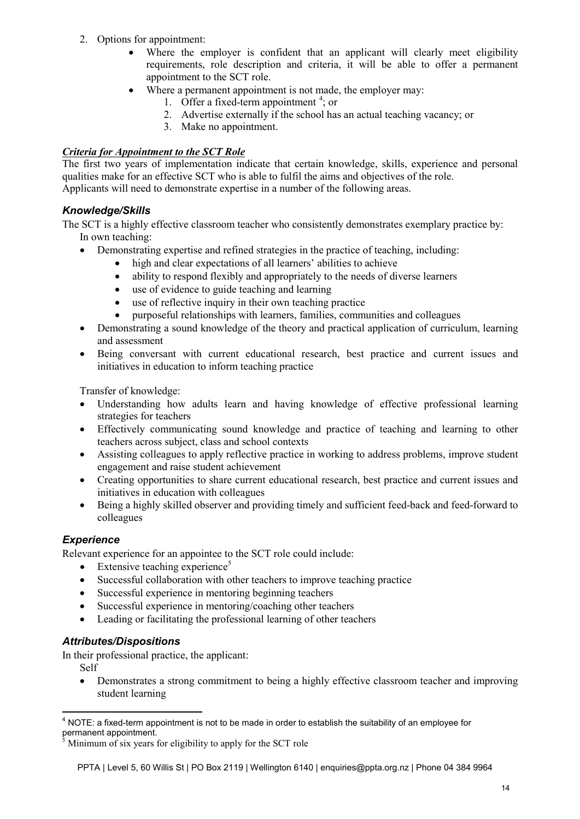- 2. Options for appointment:
	- Where the employer is confident that an applicant will clearly meet eligibility requirements, role description and criteria, it will be able to offer a permanent appointment to the SCT role.
	- Where a permanent appointment is not made, the employer may:
		- 1. Offer a fixed-term appointment  $4$ ; or
		- 2. Advertise externally if the school has an actual teaching vacancy; or
		- 3. Make no appointment.

#### *Criteria for Appointment to the SCT Role*

The first two years of implementation indicate that certain knowledge, skills, experience and personal qualities make for an effective SCT who is able to fulfil the aims and objectives of the role. Applicants will need to demonstrate expertise in a number of the following areas.

#### *Knowledge/Skills*

The SCT is a highly effective classroom teacher who consistently demonstrates exemplary practice by: In own teaching:

- Demonstrating expertise and refined strategies in the practice of teaching, including:
	- high and clear expectations of all learners' abilities to achieve
	- ability to respond flexibly and appropriately to the needs of diverse learners
	- use of evidence to guide teaching and learning
	- use of reflective inquiry in their own teaching practice
	- purposeful relationships with learners, families, communities and colleagues
- Demonstrating a sound knowledge of the theory and practical application of curriculum, learning and assessment
- Being conversant with current educational research, best practice and current issues and initiatives in education to inform teaching practice

Transfer of knowledge:

- Understanding how adults learn and having knowledge of effective professional learning strategies for teachers
- Effectively communicating sound knowledge and practice of teaching and learning to other teachers across subject, class and school contexts
- Assisting colleagues to apply reflective practice in working to address problems, improve student engagement and raise student achievement
- Creating opportunities to share current educational research, best practice and current issues and initiatives in education with colleagues
- Being a highly skilled observer and providing timely and sufficient feed-back and feed-forward to colleagues

#### *Experience*

Relevant experience for an appointee to the SCT role could include:

- Extensive teaching experience<sup>[5](#page-13-1)</sup>
- Successful collaboration with other teachers to improve teaching practice
- Successful experience in mentoring beginning teachers
- Successful experience in mentoring/coaching other teachers
- Leading or facilitating the professional learning of other teachers

#### *Attributes/Dispositions*

In their professional practice, the applicant:

Self

• Demonstrates a strong commitment to being a highly effective classroom teacher and improving student learning

<span id="page-13-0"></span> $4$  NOTE: a fixed-term appointment is not to be made in order to establish the suitability of an employee for permanent appointment.

<span id="page-13-1"></span><sup>5</sup> Minimum of six years for eligibility to apply for the SCT role